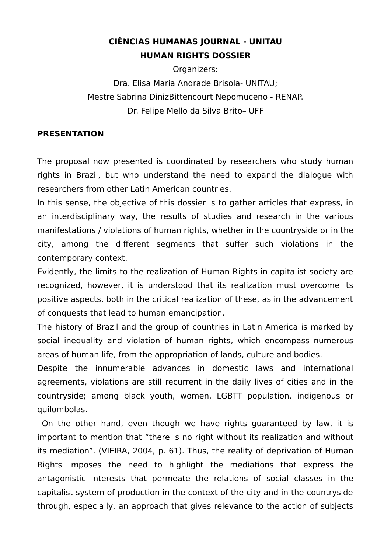# **CIÊNCIAS HUMANAS JOURNAL - UNITAU HUMAN RIGHTS DOSSIER**

Organizers: Dra. Elisa Maria Andrade Brisola- UNITAU; Mestre Sabrina DinizBittencourt Nepomuceno - RENAP. Dr. Felipe Mello da Silva Brito– UFF

# **PRESENTATION**

The proposal now presented is coordinated by researchers who study human rights in Brazil, but who understand the need to expand the dialogue with researchers from other Latin American countries.

In this sense, the objective of this dossier is to gather articles that express, in an interdisciplinary way, the results of studies and research in the various manifestations / violations of human rights, whether in the countryside or in the city, among the different segments that suffer such violations in the contemporary context.

Evidently, the limits to the realization of Human Rights in capitalist society are recognized, however, it is understood that its realization must overcome its positive aspects, both in the critical realization of these, as in the advancement of conquests that lead to human emancipation.

The history of Brazil and the group of countries in Latin America is marked by social inequality and violation of human rights, which encompass numerous areas of human life, from the appropriation of lands, culture and bodies.

Despite the innumerable advances in domestic laws and international agreements, violations are still recurrent in the daily lives of cities and in the countryside; among black youth, women, LGBTT population, indigenous or quilombolas.

 On the other hand, even though we have rights guaranteed by law, it is important to mention that "there is no right without its realization and without its mediation". (VIEIRA, 2004, p. 61). Thus, the reality of deprivation of Human Rights imposes the need to highlight the mediations that express the antagonistic interests that permeate the relations of social classes in the capitalist system of production in the context of the city and in the countryside through, especially, an approach that gives relevance to the action of subjects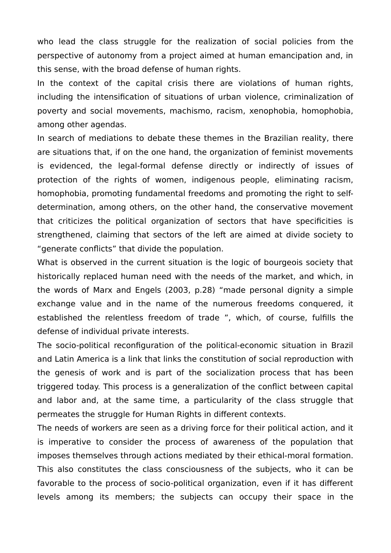who lead the class struggle for the realization of social policies from the perspective of autonomy from a project aimed at human emancipation and, in this sense, with the broad defense of human rights.

In the context of the capital crisis there are violations of human rights, including the intensification of situations of urban violence, criminalization of poverty and social movements, machismo, racism, xenophobia, homophobia, among other agendas.

In search of mediations to debate these themes in the Brazilian reality, there are situations that, if on the one hand, the organization of feminist movements is evidenced, the legal-formal defense directly or indirectly of issues of protection of the rights of women, indigenous people, eliminating racism, homophobia, promoting fundamental freedoms and promoting the right to selfdetermination, among others, on the other hand, the conservative movement that criticizes the political organization of sectors that have specificities is strengthened, claiming that sectors of the left are aimed at divide society to "generate conflicts" that divide the population.

What is observed in the current situation is the logic of bourgeois society that historically replaced human need with the needs of the market, and which, in the words of Marx and Engels (2003, p.28) "made personal dignity a simple exchange value and in the name of the numerous freedoms conquered, it established the relentless freedom of trade ", which, of course, fulfills the defense of individual private interests.

The socio-political reconfiguration of the political-economic situation in Brazil and Latin America is a link that links the constitution of social reproduction with the genesis of work and is part of the socialization process that has been triggered today. This process is a generalization of the conflict between capital and labor and, at the same time, a particularity of the class struggle that permeates the struggle for Human Rights in different contexts.

The needs of workers are seen as a driving force for their political action, and it is imperative to consider the process of awareness of the population that imposes themselves through actions mediated by their ethical-moral formation. This also constitutes the class consciousness of the subjects, who it can be favorable to the process of socio-political organization, even if it has different levels among its members; the subjects can occupy their space in the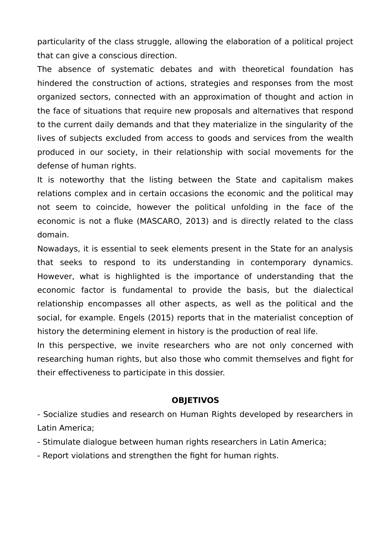particularity of the class struggle, allowing the elaboration of a political project that can give a conscious direction.

The absence of systematic debates and with theoretical foundation has hindered the construction of actions, strategies and responses from the most organized sectors, connected with an approximation of thought and action in the face of situations that require new proposals and alternatives that respond to the current daily demands and that they materialize in the singularity of the lives of subjects excluded from access to goods and services from the wealth produced in our society, in their relationship with social movements for the defense of human rights.

It is noteworthy that the listing between the State and capitalism makes relations complex and in certain occasions the economic and the political may not seem to coincide, however the political unfolding in the face of the economic is not a fluke (MASCARO, 2013) and is directly related to the class domain.

Nowadays, it is essential to seek elements present in the State for an analysis that seeks to respond to its understanding in contemporary dynamics. However, what is highlighted is the importance of understanding that the economic factor is fundamental to provide the basis, but the dialectical relationship encompasses all other aspects, as well as the political and the social, for example. Engels (2015) reports that in the materialist conception of history the determining element in history is the production of real life.

In this perspective, we invite researchers who are not only concerned with researching human rights, but also those who commit themselves and fight for their effectiveness to participate in this dossier.

#### **OBJETIVOS**

- Socialize studies and research on Human Rights developed by researchers in Latin America;

- Stimulate dialogue between human rights researchers in Latin America;

- Report violations and strengthen the fight for human rights.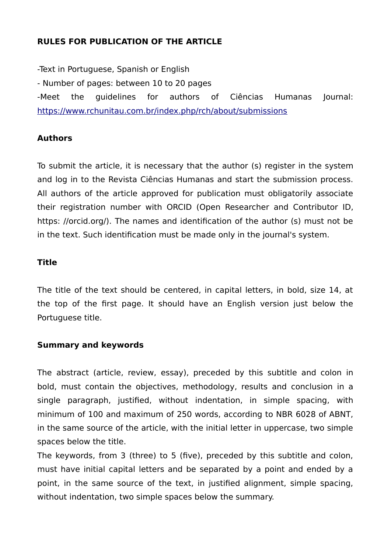# **RULES FOR PUBLICATION OF THE ARTICLE**

-Text in Portuguese, Spanish or English - Number of pages: between 10 to 20 pages -Meet the guidelines for authors of Ciências Humanas Journal: <https://www.rchunitau.com.br/index.php/rch/about/submissions>

# **Authors**

To submit the article, it is necessary that the author (s) register in the system and log in to the Revista Ciências Humanas and start the submission process. All authors of the article approved for publication must obligatorily associate their registration number with ORCID (Open Researcher and Contributor ID, https: //orcid.org/). The names and identification of the author (s) must not be in the text. Such identification must be made only in the journal's system.

# **Title**

The title of the text should be centered, in capital letters, in bold, size 14, at the top of the first page. It should have an English version just below the Portuguese title.

#### **Summary and keywords**

The abstract (article, review, essay), preceded by this subtitle and colon in bold, must contain the objectives, methodology, results and conclusion in a single paragraph, justified, without indentation, in simple spacing, with minimum of 100 and maximum of 250 words, according to NBR 6028 of ABNT, in the same source of the article, with the initial letter in uppercase, two simple spaces below the title.

The keywords, from 3 (three) to 5 (five), preceded by this subtitle and colon, must have initial capital letters and be separated by a point and ended by a point, in the same source of the text, in justified alignment, simple spacing, without indentation, two simple spaces below the summary.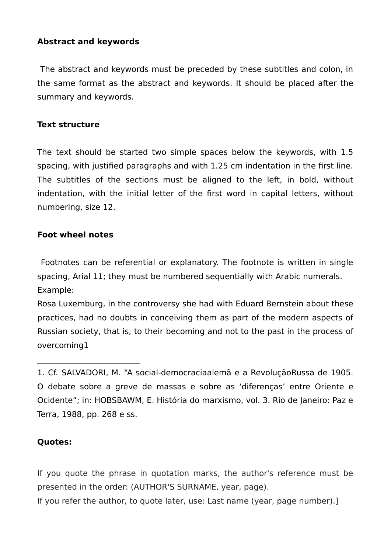# **Abstract and keywords**

 The abstract and keywords must be preceded by these subtitles and colon, in the same format as the abstract and keywords. It should be placed after the summary and keywords.

#### **Text structure**

The text should be started two simple spaces below the keywords, with 1.5 spacing, with justified paragraphs and with 1.25 cm indentation in the first line. The subtitles of the sections must be aligned to the left, in bold, without indentation, with the initial letter of the first word in capital letters, without numbering, size 12.

#### **Foot wheel notes**

 $\frac{1}{2}$  , which is a set of the set of the set of the set of the set of the set of the set of the set of the set of the set of the set of the set of the set of the set of the set of the set of the set of the set of the

 Footnotes can be referential or explanatory. The footnote is written in single spacing, Arial 11; they must be numbered sequentially with Arabic numerals. Example:

Rosa Luxemburg, in the controversy she had with Eduard Bernstein about these practices, had no doubts in conceiving them as part of the modern aspects of Russian society, that is, to their becoming and not to the past in the process of overcoming1

#### **Quotes:**

If you quote the phrase in quotation marks, the author's reference must be presented in the order: (AUTHOR'S SURNAME, year, page).

If you refer the author, to quote later, use: Last name (year, page number).]

<sup>1.</sup> Cf. SALVADORI, M. "A social-democraciaalemã e a RevoluçãoRussa de 1905. O debate sobre a greve de massas e sobre as 'diferenças' entre Oriente e Ocidente"; in: HOBSBAWM, E. História do marxismo, vol. 3. Rio de Janeiro: Paz e Terra, 1988, pp. 268 e ss.